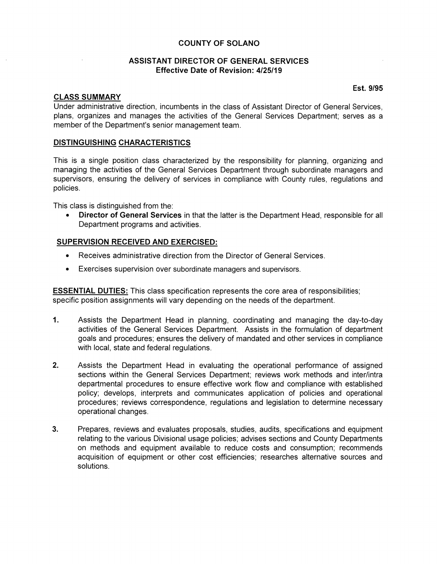# **COUNTY OF SOLANO**

# **ASSISTANT DIRECTOR OF GENERAL SERVICES Effective Date of Revision: 4/25/19**

## **CLASS SUMMARY**

**Est. 9/95** 

Under administrative direction, incumbents in the class of Assistant Director of General Services, plans, organizes and manages the activities of the General Services Department; serves as a member of the Department's senior management team.

## **DISTINGUISHING CHARACTERISTICS**

This is a single position class characterized by the responsibility for planning, organizing and managing the activities of the General Services Department through subordinate managers and supervisors, ensuring the delivery of services in compliance with County rules, regulations and policies.

This class is distinguished from the:

• **Director of General Services** in that the latter is the Department Head, responsible for all Department programs and activities.

## **SUPERVISION RECEIVED AND EXERCISED:**

- Receives administrative direction from the Director of General Services.
- Exercises supervision over subordinate managers and supervisors.

**ESSENTIAL DUTIES:** This class specification represents the core area of responsibilities; specific position assignments will vary depending on the needs of the department.

- **1.** Assists the Department Head in planning, coordinating and managing the day-to-day activities of the General Services Department. Assists in the formulation of department goals and procedures; ensures the delivery of mandated and other services in compliance with local, state and federal regulations.
- **2.** Assists the Department Head in evaluating the operational performance of assigned sections within the General Services Department; reviews work methods and inter/intra departmental procedures to ensure effective work flow and compliance with established policy; develops, interprets and communicates application of policies and operational procedures; reviews correspondence, regulations and legislation to determine necessary operational changes.
- **3.** Prepares, reviews and evaluates proposals, studies, audits, specifications and equipment relating to the various Divisional usage policies; advises sections and County Departments on methods and equipment available to reduce costs and consumption; recommends acquisition of equipment or other cost efficiencies; researches alternative sources and solutions.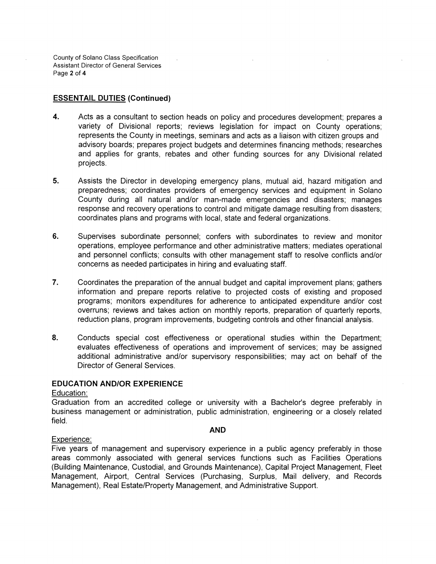County of Solana Class Specification Assistant Director of General Services Page 2 of 4

# **ESSENTAIL DUTIES (Continued)**

- **4.** Acts as a consultant to section heads on policy and procedures development; prepares a variety of Divisional reports; reviews legislation for impact on County operations; represents the County in meetings, seminars and acts as a liaison with citizen groups and advisory boards; prepares project budgets and determines financing methods; researches and applies for grants, rebates and other funding sources for any Divisional related projects.
- **5.** Assists the Director in developing emergency plans, mutual aid, hazard mitigation and preparedness; coordinates providers of emergency services and equipment in Solano County during all natural and/or man-made emergencies and disasters; manages response and recovery operations to control and mitigate damage resulting from disasters; coordinates plans and programs with local, state and federal organizations.
- **6.** Supervises subordinate personnel; confers with subordinates to review and monitor operations, employee performance and other administrative matters; mediates operational and personnel conflicts; consults with other management staff to resolve conflicts and/or concerns as needed participates in hiring and evaluating staff.
- 7. Coordinates the preparation of the annual budget and capital improvement plans; gathers information and prepare reports relative to projected costs of existing and proposed programs; monitors expenditures for adherence to anticipated expenditure and/or cost overruns; reviews and takes action on monthly reports, preparation of quarterly reports, reduction plans, program improvements, budgeting controls and other financial analysis.
- **8.** Conducts special cost effectiveness or operational studies within the Department; evaluates effectiveness of operations and improvement of services; may be assigned additional administrative and/or supervisory responsibilities; may act on behalf of the Director of General Services.

# **EDUCATION AND/OR EXPERIENCE**

Education:

Graduation from an accredited college or university with a Bachelor's degree preferably in business management or administration, public administration, engineering or a closely related field.

#### **AND**

#### Experience:

Five years of management and supervisory experience in a public agency preferably in those areas commonly associated with general services functions such as Facilities Operations (Building Maintenance, Custodial, and Grounds Maintenance), Capital Project Management, Fleet Management, Airport, Central Services (Purchasing, Surplus, Mail delivery, and Records Management), Real Estate/Property Management, and Administrative Support.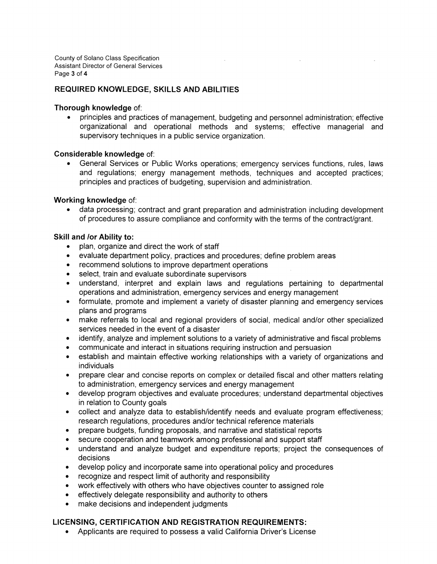County of Solano Class Specification Assistant Director of General Services Page 3 of 4

### **REQUIRED KNOWLEDGE, SKILLS AND ABILITIES**

#### **Thorough knowledge** of:

• principles and practices of management, budgeting and personnel administration; effective organizational and operational methods and systems; effective managerial and supervisory techniques in a public service organization.

### **Considerable knowledge** of:

• General Services or Public Works operations; emergency services functions, rules, laws and regulations; energy management methods, techniques and accepted practices; principles and practices of budgeting, supervision and administration.

## **Working knowledge** of:

• data processing; contract and grant preparation and administration including development of procedures to assure compliance and conformity with the terms of the contract/grant.

### **Skill and lor Ability to:**

- plan, organize and direct the work of staff
- evaluate department policy, practices and procedures; define problem areas
- recommend solutions to improve department operations
- select, train and evaluate subordinate supervisors
- understand, interpret and explain laws and regulations pertaining to departmental operations and administration, emergency services and energy management
- formulate, promote and implement a variety of disaster planning and emergency services plans and programs
- make referrals to local and regional providers of social, medical and/or other specialized services needed in the event of a disaster
- identify, analyze and implement solutions to a variety of administrative and fiscal problems
- communicate and interact in situations requiring instruction and persuasion
- establish and maintain effective working relationships with a variety of organizations and individuals
- prepare clear and concise reports on complex or detailed fiscal and other matters relating to administration, emergency services and energy management
- develop program objectives and evaluate procedures; understand departmental objectives in relation to County goals
- collect and analyze data to establish/identify needs and evaluate program effectiveness; research regulations, procedures and/or technical reference materials
- prepare budgets, funding proposals, and narrative and statistical reports
- secure cooperation and teamwork among professional and support staff
- understand and analyze budget and expenditure reports; project the consequences of decisions
- develop policy and incorporate same into operational policy and procedures
- recognize and respect limit of authority and responsibility
- work effectively with others who have objectives counter to assigned role
- effectively delegate responsibility and authority to others
- make decisions and independent judgments

## **LICENSING, CERTIFICATION AND REGISTRATION REQUIREMENTS:**

• Applicants are required to possess a valid California Driver's License